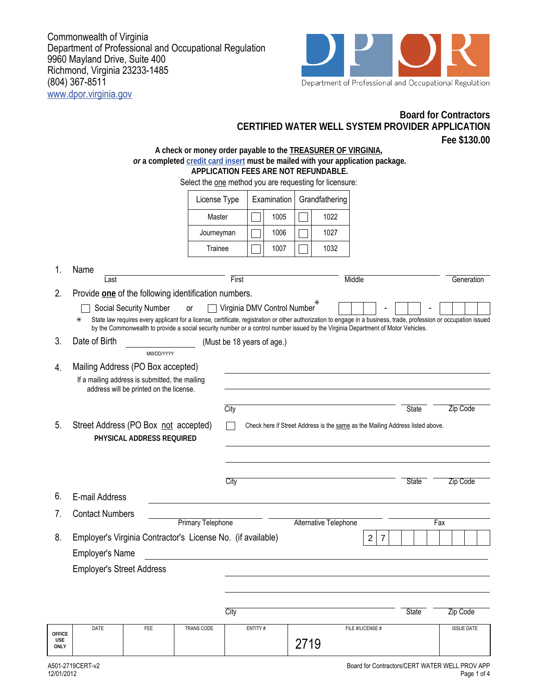Commonwealth of Virginia Department of Professional and Occupational Regulation 9960 Mayland Drive, Suite 400 Richmond, Virginia 23233-1485 (804) 367-8511 www.dpor.virginia.gov



**Board for Contractors**

|                              |                                                                                                                                |                           |                                                                                                                                                                                                                                                                                                        |                            |         | CERTIFIED WATER WELL SYSTEM PROVIDER APPLICATION                              |      |      |  |                  |  |              |  |                   | Fee \$130.00 |
|------------------------------|--------------------------------------------------------------------------------------------------------------------------------|---------------------------|--------------------------------------------------------------------------------------------------------------------------------------------------------------------------------------------------------------------------------------------------------------------------------------------------------|----------------------------|---------|-------------------------------------------------------------------------------|------|------|--|------------------|--|--------------|--|-------------------|--------------|
|                              |                                                                                                                                |                           | A check or money order payable to the <b>TREASURER OF VIRGINIA</b> ,<br>or a completed credit card insert must be mailed with your application package.<br>APPLICATION FEES ARE NOT REFUNDABLE.<br>Select the one method you are requesting for licensure:                                             |                            |         |                                                                               |      |      |  |                  |  |              |  |                   |              |
|                              |                                                                                                                                | License Type              |                                                                                                                                                                                                                                                                                                        | Examination                |         | Grandfathering                                                                |      |      |  |                  |  |              |  |                   |              |
|                              | Master                                                                                                                         |                           |                                                                                                                                                                                                                                                                                                        |                            |         | 1005                                                                          |      | 1022 |  |                  |  |              |  |                   |              |
|                              |                                                                                                                                |                           | Journeyman                                                                                                                                                                                                                                                                                             |                            |         | 1006                                                                          |      | 1027 |  |                  |  |              |  |                   |              |
|                              |                                                                                                                                |                           | Trainee                                                                                                                                                                                                                                                                                                |                            |         | 1007                                                                          |      | 1032 |  |                  |  |              |  |                   |              |
| 1.                           | Name                                                                                                                           |                           |                                                                                                                                                                                                                                                                                                        |                            |         |                                                                               |      |      |  |                  |  |              |  |                   |              |
|                              | Last                                                                                                                           | Middle<br>First           |                                                                                                                                                                                                                                                                                                        |                            |         |                                                                               |      |      |  | Generation       |  |              |  |                   |              |
| 2.                           | Provide one of the following identification numbers.                                                                           |                           |                                                                                                                                                                                                                                                                                                        |                            |         |                                                                               |      | ⋇    |  |                  |  |              |  |                   |              |
|                              |                                                                                                                                | Social Security Number    | or                                                                                                                                                                                                                                                                                                     |                            |         | Virginia DMV Control Number                                                   |      |      |  |                  |  |              |  |                   |              |
|                              | $\ast$                                                                                                                         |                           | State law requires every applicant for a license, certificate, registration or other authorization to engage in a business, trade, profession or occupation issued<br>by the Commonwealth to provide a social security number or a control number issued by the Virginia Department of Motor Vehicles. |                            |         |                                                                               |      |      |  |                  |  |              |  |                   |              |
| 3.                           | Date of Birth                                                                                                                  |                           |                                                                                                                                                                                                                                                                                                        | (Must be 18 years of age.) |         |                                                                               |      |      |  |                  |  |              |  |                   |              |
|                              |                                                                                                                                | MM/DD/YYYY                |                                                                                                                                                                                                                                                                                                        |                            |         |                                                                               |      |      |  |                  |  |              |  |                   |              |
| 4.                           | Mailing Address (PO Box accepted)<br>If a mailing address is submitted, the mailing<br>address will be printed on the license. |                           |                                                                                                                                                                                                                                                                                                        |                            |         |                                                                               |      |      |  |                  |  |              |  |                   |              |
|                              |                                                                                                                                |                           |                                                                                                                                                                                                                                                                                                        | City                       |         |                                                                               |      |      |  |                  |  | State        |  | Zip Code          |              |
| 5.                           | Street Address (PO Box not accepted)                                                                                           | PHYSICAL ADDRESS REQUIRED |                                                                                                                                                                                                                                                                                                        |                            |         | Check here if Street Address is the same as the Mailing Address listed above. |      |      |  |                  |  |              |  |                   |              |
|                              |                                                                                                                                |                           |                                                                                                                                                                                                                                                                                                        | City                       |         |                                                                               |      |      |  |                  |  | <b>State</b> |  | Zip Code          |              |
| 6.                           | E-mail Address                                                                                                                 |                           |                                                                                                                                                                                                                                                                                                        |                            |         |                                                                               |      |      |  |                  |  |              |  |                   |              |
|                              | <b>Contact Numbers</b>                                                                                                         |                           |                                                                                                                                                                                                                                                                                                        |                            |         |                                                                               |      |      |  |                  |  |              |  |                   |              |
|                              | <b>Primary Telephone</b><br><b>Alternative Telephone</b><br>Fax                                                                |                           |                                                                                                                                                                                                                                                                                                        |                            |         |                                                                               |      |      |  |                  |  |              |  |                   |              |
| 8.                           | Employer's Virginia Contractor's License No. (if available)<br>$\overline{c}$<br>7                                             |                           |                                                                                                                                                                                                                                                                                                        |                            |         |                                                                               |      |      |  |                  |  |              |  |                   |              |
|                              | <b>Employer's Name</b>                                                                                                         |                           |                                                                                                                                                                                                                                                                                                        |                            |         |                                                                               |      |      |  |                  |  |              |  |                   |              |
|                              | <b>Employer's Street Address</b>                                                                                               |                           |                                                                                                                                                                                                                                                                                                        |                            |         |                                                                               |      |      |  |                  |  |              |  |                   |              |
|                              |                                                                                                                                |                           |                                                                                                                                                                                                                                                                                                        |                            |         |                                                                               |      |      |  |                  |  |              |  |                   |              |
|                              |                                                                                                                                |                           |                                                                                                                                                                                                                                                                                                        | City                       |         |                                                                               |      |      |  |                  |  | State        |  | Zip Code          |              |
| <b>OFFICE</b><br>USE<br>ONLY | DATE                                                                                                                           | FEE                       | TRANS CODE                                                                                                                                                                                                                                                                                             |                            | ENTITY# |                                                                               | 2719 |      |  | FILE #/LICENSE # |  |              |  | <b>ISSUE DATE</b> |              |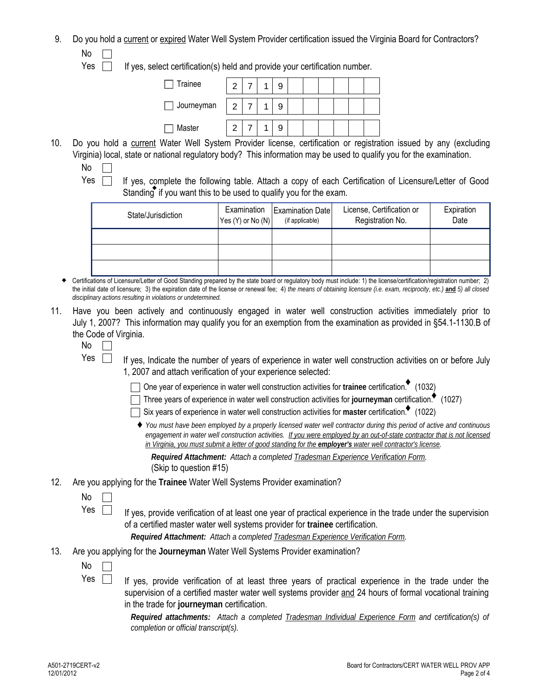9. Do you hold a current or expired Water Well System Provider certification issued the Virginia Board for Contractors? No

 $Yes \tIf yes, select certification(s) held and provide your certification number.$ 

| Trainee    | ╭        |  |  |  |  |  |
|------------|----------|--|--|--|--|--|
| Journeyman | $\Omega$ |  |  |  |  |  |
| Master     |          |  |  |  |  |  |

- 10. Do you hold a current Water Well System Provider license, certification or registration issued by any (excluding Virginia) local, state or national regulatory body? This information may be used to qualify you for the examination. No  $\Box$ 
	-

Yes  $\Box$  If yes, complete the following table. Attach a copy of each Certification of Licensure/Letter of Good Standing if you want this to be used to qualify you for the exam.

| State/Jurisdiction | Examination<br>Yes $(Y)$ or No $(N)$ | Examination Date<br>(if applicable) | License, Certification or<br>Registration No. | Expiration<br>Date |  |  |
|--------------------|--------------------------------------|-------------------------------------|-----------------------------------------------|--------------------|--|--|
|                    |                                      |                                     |                                               |                    |  |  |
|                    |                                      |                                     |                                               |                    |  |  |
|                    |                                      |                                     |                                               |                    |  |  |

 Certifications of Licensure/Letter of Good Standing prepared by the state board or regulatory body must include: 1) the license/certification/registration number; 2) the initial date of licensure; 3) the expiration date of the license or renewal fee; 4) *the means of obtaining licensure (i.e. exam, reciprocity, etc.)* **and** *5) all closed disciplinary actions resulting in violations or undetermined.*

- 11. Have you been actively and continuously engaged in water well construction activities immediately prior to July 1, 2007? This information may qualify you for an exemption from the examination as provided in §54.1-1130.B of the Code of Virginia.
	- No  $\Box$
	- Yes  $\Box$ If yes, Indicate the number of years of experience in water well construction activities on or before July 1, 2007 and attach verification of your experience selected:

One year of experience in water well construction activities for **trainee** certification. (1032) ♦

Three years of experience in water well construction activities for **journeyman** certification. (1027) ♦

Six years of experience in water well construction activities for master certification.<sup>•</sup> (1022)

♦ *You must have been employed by a properly licensed water well contractor during this period of active and continuous engagement in water well construction activities. If you were employed by an out-of-state contractor that is not licensed in Virginia, you must submit a letter of good standing for the employer's water well contractor's license.*

*Required Attachment: Attach a completed Tradesman Experience Verification Form.*  (Skip to question #15)

- 12. Are you applying for the **Trainee** Water Well Systems Provider examination?
	- No

Yes  $\Box$ If yes, provide verification of at least one year of practical experience in the trade under the supervision of a certified master water well systems provider for **trainee** certification.

*Required Attachment: Attach a completed Tradesman Experience Verification Form.*

- 13. Are you applying for the **Journeyman** Water Well Systems Provider examination?
	- No
	- If yes, provide verification of at least three years of practical experience in the trade under the supervision of a certified master water well systems provider and 24 hours of formal vocational training in the trade for **journeyman** certification. Yes  $\Box$

*Required attachments: Attach a completed Tradesman Individual Experience Form and certification(s) of completion or official transcript(s).*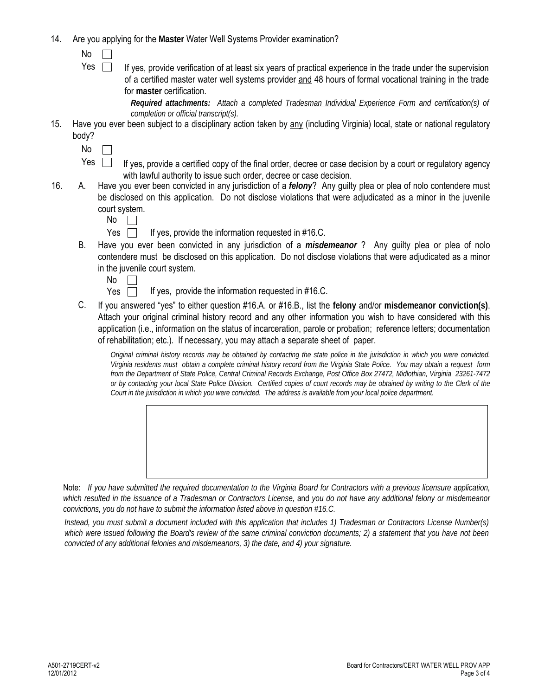- 14. Are you applying for the **Master** Water Well Systems Provider examination?
	- No  $\perp$
	- If yes, provide verification of at least six years of practical experience in the trade under the supervision of a certified master water well systems provider and 48 hours of formal vocational training in the trade for **master** certification. Yes  $\Box$

*Required attachments: Attach a completed Tradesman Individual Experience Form and certification(s) of completion or official transcript(s).* 

- 15. Have you ever been subject to a disciplinary action taken by any (including Virginia) local, state or national regulatory body?
	- $No \Box$
	- If yes, provide a certified copy of the final order, decree or case decision by a court or regulatory agency with lawful authority to issue such order, decree or case decision. Yes  $\Box$
- Have you ever been convicted in any jurisdiction of a *felony*? Any guilty plea or plea of nolo contendere must be disclosed on this application. Do not disclose violations that were adjudicated as a minor in the juvenile court system. 16. A.
	- No  $\pm$
	- Yes  $\Box$  If yes, provide the information requested in #16.C.
	- Have you ever been convicted in any jurisdiction of a *misdemeanor* ? Any guilty plea or plea of nolo contendere must be disclosed on this application. Do not disclose violations that were adjudicated as a minor in the juvenile court system. B.
		- No  $\perp$

If yes, provide the information requested in #16.C. Yes  $\Box$ 

C. If you answered "yes" to either question #16.A. or #16.B., list the **felony** and/or **misdemeanor conviction(s)**. Attach your original criminal history record and any other information you wish to have considered with this application (i.e., information on the status of incarceration, parole or probation; reference letters; documentation of rehabilitation; etc.). If necessary, you may attach a separate sheet of paper.

*Original criminal history records may be obtained by contacting the state police in the jurisdiction in which you were convicted. Virginia residents must obtain a complete criminal history record from the Virginia State Police. You may obtain a request form from the Department of State Police, Central Criminal Records Exchange, Post Office Box 27472, Midlothian, Virginia 23261-7472 or by contacting your local State Police Division. Certified copies of court records may be obtained by writing to the Clerk of the Court in the jurisdiction in which you were convicted. The address is available from your local police department.*



Note: *If you have submitted the required documentation to the Virginia Board for Contractors with a previous licensure application, which resulted in the issuance of a Tradesman or Contractors License,* and *you do not have any additional felony or misdemeanor convictions, you do not have to submit the information listed above in question #16.C.* 

*Instead, you must submit a document included with this application that includes 1) Tradesman or Contractors License Number(s) which were issued following the Board's review of the same criminal conviction documents; 2) a statement that you have not been convicted of any additional felonies and misdemeanors, 3) the date, and 4) your signature.*